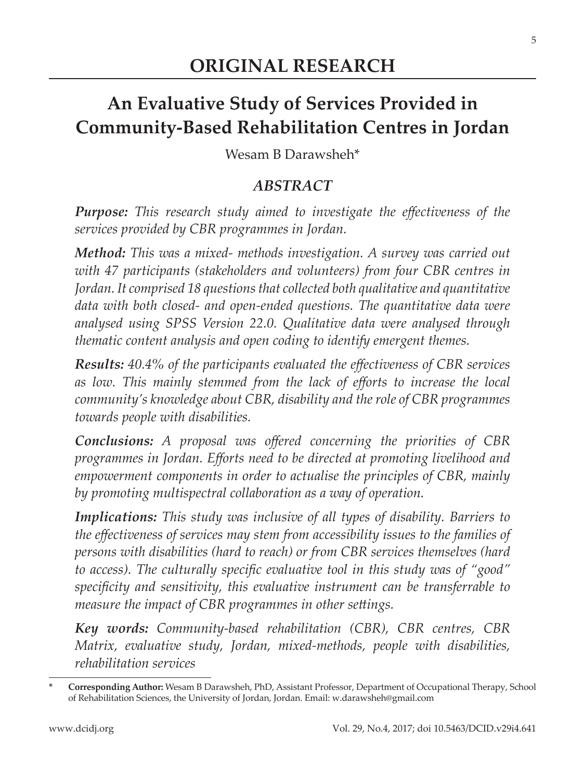# **An Evaluative Study of Services Provided in Community-Based Rehabilitation Centres in Jordan**

Wesam B Darawsheh\*

### *ABSTRACT*

*Purpose: This research study aimed to investigate the effectiveness of the services provided by CBR programmes in Jordan.*

*Method: This was a mixed- methods investigation. A survey was carried out with 47 participants (stakeholders and volunteers) from four CBR centres in Jordan. It comprised 18 questions that collected both qualitative and quantitative data with both closed- and open-ended questions. The quantitative data were analysed using SPSS Version 22.0. Qualitative data were analysed through thematic content analysis and open coding to identify emergent themes.*

*Results: 40.4% of the participants evaluated the effectiveness of CBR services as low. This mainly stemmed from the lack of efforts to increase the local community's knowledge about CBR, disability and the role of CBR programmes towards people with disabilities.* 

*Conclusions: A proposal was offered concerning the priorities of CBR programmes in Jordan. Efforts need to be directed at promoting livelihood and empowerment components in order to actualise the principles of CBR, mainly by promoting multispectral collaboration as a way of operation.*

*Implications: This study was inclusive of all types of disability. Barriers to the effectiveness of services may stem from accessibility issues to the families of persons with disabilities (hard to reach) or from CBR services themselves (hard to access). The culturally specific evaluative tool in this study was of "good" specificity and sensitivity, this evaluative instrument can be transferrable to measure the impact of CBR programmes in other settings.* 

*Key words: Community-based rehabilitation (CBR), CBR centres, CBR Matrix, evaluative study, Jordan, mixed-methods, people with disabilities, rehabilitation services*

**<sup>\*</sup> Corresponding Author:** Wesam B Darawsheh, PhD, Assistant Professor, Department of Occupational Therapy, School of Rehabilitation Sciences, the University of Jordan, Jordan. Email: w.darawsheh@gmail.com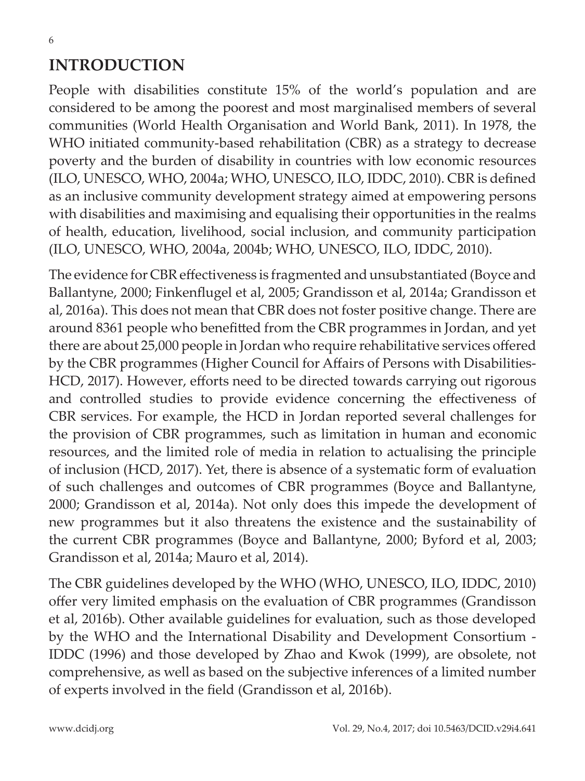### **INTRODUCTION**

People with disabilities constitute 15% of the world's population and are considered to be among the poorest and most marginalised members of several communities (World Health Organisation and World Bank, 2011). In 1978, the WHO initiated community-based rehabilitation (CBR) as a strategy to decrease poverty and the burden of disability in countries with low economic resources (ILO, UNESCO, WHO, 2004a; WHO, UNESCO, ILO, IDDC, 2010). CBR is defined as an inclusive community development strategy aimed at empowering persons with disabilities and maximising and equalising their opportunities in the realms of health, education, livelihood, social inclusion, and community participation (ILO, UNESCO, WHO, 2004a, 2004b; WHO, UNESCO, ILO, IDDC, 2010).

The evidence for CBR effectiveness is fragmented and unsubstantiated (Boyce and Ballantyne, 2000; Finkenflugel et al, 2005; Grandisson et al, 2014a; Grandisson et al, 2016a). This does not mean that CBR does not foster positive change. There are around 8361 people who benefitted from the CBR programmes in Jordan, and yet there are about 25,000 people in Jordan who require rehabilitative services offered by the CBR programmes (Higher Council for Affairs of Persons with Disabilities-HCD, 2017). However, efforts need to be directed towards carrying out rigorous and controlled studies to provide evidence concerning the effectiveness of CBR services. For example, the HCD in Jordan reported several challenges for the provision of CBR programmes, such as limitation in human and economic resources, and the limited role of media in relation to actualising the principle of inclusion (HCD, 2017). Yet, there is absence of a systematic form of evaluation of such challenges and outcomes of CBR programmes (Boyce and Ballantyne, 2000; Grandisson et al, 2014a). Not only does this impede the development of new programmes but it also threatens the existence and the sustainability of the current CBR programmes (Boyce and Ballantyne, 2000; Byford et al, 2003; Grandisson et al, 2014a; Mauro et al, 2014).

The CBR guidelines developed by the WHO (WHO, UNESCO, ILO, IDDC, 2010) offer very limited emphasis on the evaluation of CBR programmes (Grandisson et al, 2016b). Other available guidelines for evaluation, such as those developed by the WHO and the International Disability and Development Consortium - IDDC (1996) and those developed by Zhao and Kwok (1999), are obsolete, not comprehensive, as well as based on the subjective inferences of a limited number of experts involved in the field (Grandisson et al, 2016b).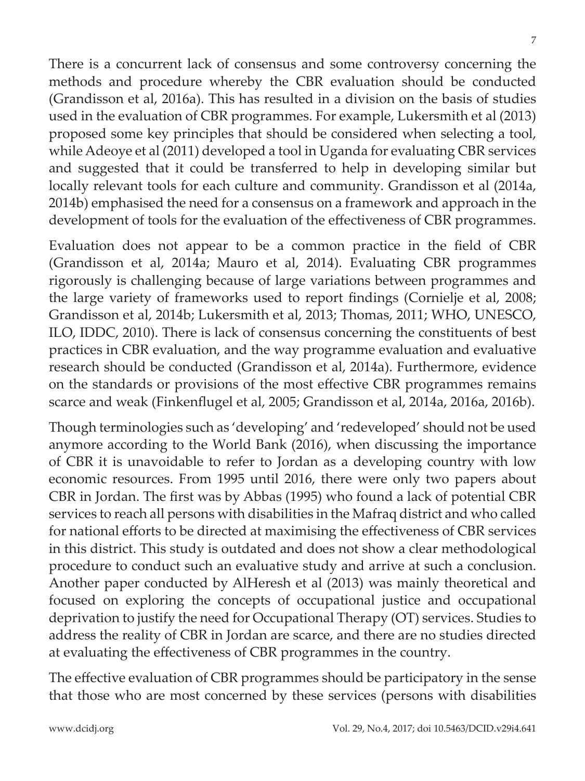There is a concurrent lack of consensus and some controversy concerning the methods and procedure whereby the CBR evaluation should be conducted (Grandisson et al, 2016a). This has resulted in a division on the basis of studies used in the evaluation of CBR programmes. For example, Lukersmith et al (2013) proposed some key principles that should be considered when selecting a tool, while Adeoye et al (2011) developed a tool in Uganda for evaluating CBR services and suggested that it could be transferred to help in developing similar but locally relevant tools for each culture and community. Grandisson et al (2014a, 2014b) emphasised the need for a consensus on a framework and approach in the development of tools for the evaluation of the effectiveness of CBR programmes.

Evaluation does not appear to be a common practice in the field of CBR (Grandisson et al, 2014a; Mauro et al, 2014). Evaluating CBR programmes rigorously is challenging because of large variations between programmes and the large variety of frameworks used to report findings (Cornielje et al, 2008; Grandisson et al, 2014b; Lukersmith et al, 2013; Thomas, 2011; WHO, UNESCO, ILO, IDDC, 2010). There is lack of consensus concerning the constituents of best practices in CBR evaluation, and the way programme evaluation and evaluative research should be conducted (Grandisson et al, 2014a). Furthermore, evidence on the standards or provisions of the most effective CBR programmes remains scarce and weak (Finkenflugel et al, 2005; Grandisson et al, 2014a, 2016a, 2016b).

Though terminologies such as 'developing' and 'redeveloped' should not be used anymore according to the World Bank (2016), when discussing the importance of CBR it is unavoidable to refer to Jordan as a developing country with low economic resources. From 1995 until 2016, there were only two papers about CBR in Jordan. The first was by Abbas (1995) who found a lack of potential CBR services to reach all persons with disabilities in the Mafraq district and who called for national efforts to be directed at maximising the effectiveness of CBR services in this district. This study is outdated and does not show a clear methodological procedure to conduct such an evaluative study and arrive at such a conclusion. Another paper conducted by AlHeresh et al (2013) was mainly theoretical and focused on exploring the concepts of occupational justice and occupational deprivation to justify the need for Occupational Therapy (OT) services. Studies to address the reality of CBR in Jordan are scarce, and there are no studies directed at evaluating the effectiveness of CBR programmes in the country.

The effective evaluation of CBR programmes should be participatory in the sense that those who are most concerned by these services (persons with disabilities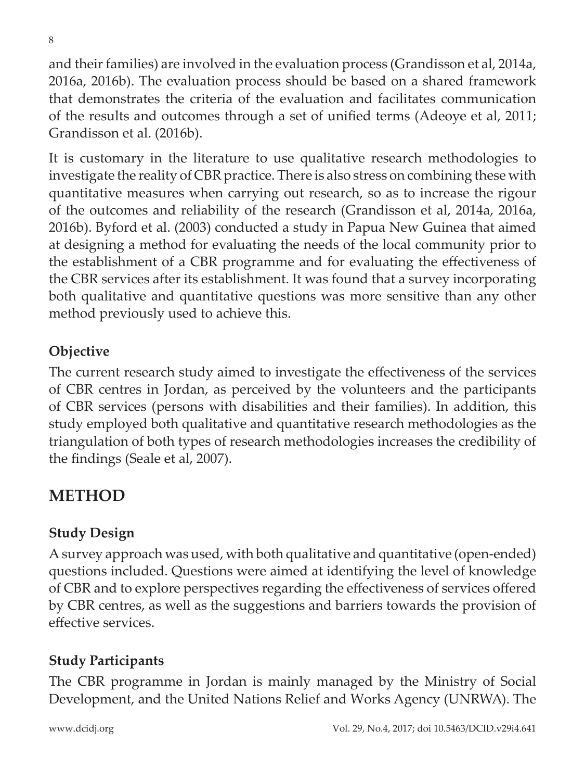and their families) are involved in the evaluation process (Grandisson et al, 2014a, 2016a, 2016b). The evaluation process should be based on a shared framework that demonstrates the criteria of the evaluation and facilitates communication of the results and outcomes through a set of unified terms (Adeoye et al, 2011; Grandisson et al. (2016b).

It is customary in the literature to use qualitative research methodologies to investigate the reality of CBR practice. There is also stress on combining these with quantitative measures when carrying out research, so as to increase the rigour of the outcomes and reliability of the research (Grandisson et al, 2014a, 2016a, 2016b). Byford et al. (2003) conducted a study in Papua New Guinea that aimed at designing a method for evaluating the needs of the local community prior to the establishment of a CBR programme and for evaluating the effectiveness of the CBR services after its establishment. It was found that a survey incorporating both qualitative and quantitative questions was more sensitive than any other method previously used to achieve this.

### **Objective**

The current research study aimed to investigate the effectiveness of the services of CBR centres in Jordan, as perceived by the volunteers and the participants of CBR services (persons with disabilities and their families). In addition, this study employed both qualitative and quantitative research methodologies as the triangulation of both types of research methodologies increases the credibility of the findings (Seale et al, 2007).

## **METHOD**

### **Study Design**

A survey approach was used, with both qualitative and quantitative (open-ended) questions included. Questions were aimed at identifying the level of knowledge of CBR and to explore perspectives regarding the effectiveness of services offered by CBR centres, as well as the suggestions and barriers towards the provision of effective services.

### **Study Participants**

The CBR programme in Jordan is mainly managed by the Ministry of Social Development, and the United Nations Relief and Works Agency (UNRWA). The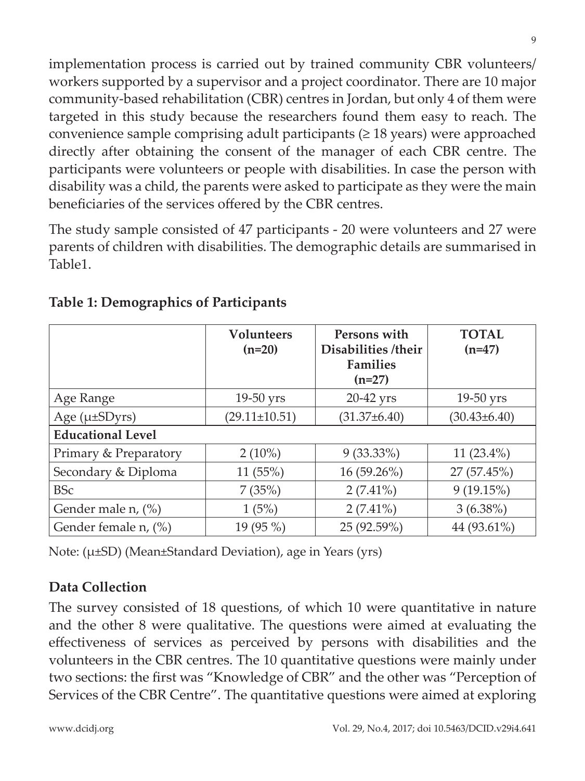implementation process is carried out by trained community CBR volunteers/ workers supported by a supervisor and a project coordinator. There are 10 major community-based rehabilitation (CBR) centres in Jordan, but only 4 of them were targeted in this study because the researchers found them easy to reach. The convenience sample comprising adult participants  $(≥ 18$  years) were approached directly after obtaining the consent of the manager of each CBR centre. The participants were volunteers or people with disabilities. In case the person with disability was a child, the parents were asked to participate as they were the main beneficiaries of the services offered by the CBR centres.

The study sample consisted of 47 participants - 20 were volunteers and 27 were parents of children with disabilities. The demographic details are summarised in Table1.

|                          | <b>Volunteers</b><br>$(n=20)$ | Persons with<br>Disabilities /their<br><b>Families</b><br>$(n=27)$ | <b>TOTAL</b><br>$(n=47)$ |
|--------------------------|-------------------------------|--------------------------------------------------------------------|--------------------------|
| Age Range                | $19-50$ yrs                   | 20-42 yrs                                                          | $19-50$ yrs              |
| Age $(\mu \pm SDyrs)$    | $(29.11 \pm 10.51)$           | $(31.37 \pm 6.40)$                                                 | $(30.43 \pm 6.40)$       |
| <b>Educational Level</b> |                               |                                                                    |                          |
| Primary & Preparatory    | $2(10\%)$                     | $9(33.33\%)$                                                       | 11 $(23.4\%)$            |
| Secondary & Diploma      | 11 (55%)                      | 16 (59.26%)                                                        | 27 (57.45%)              |
| <b>BSc</b>               | 7(35%)                        | $2(7.41\%)$                                                        | 9(19.15%)                |
| Gender male n, (%)       | 1(5%)                         | $2(7.41\%)$                                                        | $3(6.38\%)$              |
| Gender female n, (%)     | 19 (95 %)                     | 25 (92.59%)                                                        | 44 (93.61%)              |

#### **Table 1: Demographics of Participants**

Note: (µ±SD) (Mean±Standard Deviation), age in Years (yrs)

### **Data Collection**

The survey consisted of 18 questions, of which 10 were quantitative in nature and the other 8 were qualitative. The questions were aimed at evaluating the effectiveness of services as perceived by persons with disabilities and the volunteers in the CBR centres. The 10 quantitative questions were mainly under two sections: the first was "Knowledge of CBR" and the other was "Perception of Services of the CBR Centre". The quantitative questions were aimed at exploring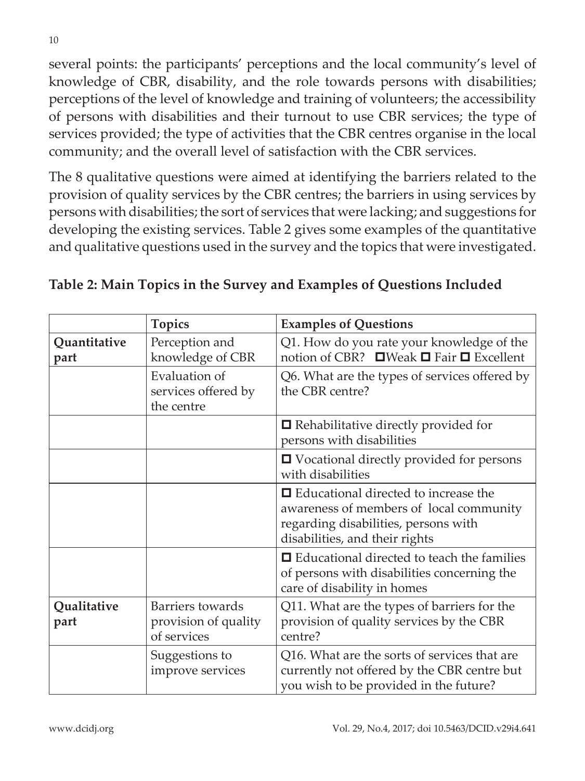several points: the participants' perceptions and the local community's level of knowledge of CBR, disability, and the role towards persons with disabilities; perceptions of the level of knowledge and training of volunteers; the accessibility of persons with disabilities and their turnout to use CBR services; the type of services provided; the type of activities that the CBR centres organise in the local community; and the overall level of satisfaction with the CBR services.

The 8 qualitative questions were aimed at identifying the barriers related to the provision of quality services by the CBR centres; the barriers in using services by persons with disabilities; the sort of services that were lacking; and suggestions for developing the existing services. Table 2 gives some examples of the quantitative and qualitative questions used in the survey and the topics that were investigated.

|                      | <b>Topics</b>                                           | <b>Examples of Questions</b>                                                                                                                                     |  |
|----------------------|---------------------------------------------------------|------------------------------------------------------------------------------------------------------------------------------------------------------------------|--|
| Quantitative<br>part | Perception and<br>knowledge of CBR                      | Q1. How do you rate your knowledge of the<br>notion of CBR? ■ Weak ■ Fair ■ Excellent                                                                            |  |
|                      | Evaluation of<br>services offered by<br>the centre      | Q6. What are the types of services offered by<br>the CBR centre?                                                                                                 |  |
|                      |                                                         | $\blacksquare$ Rehabilitative directly provided for<br>persons with disabilities                                                                                 |  |
|                      |                                                         | $\Box$ Vocational directly provided for persons<br>with disabilities                                                                                             |  |
|                      |                                                         | $\Box$ Educational directed to increase the<br>awareness of members of local community<br>regarding disabilities, persons with<br>disabilities, and their rights |  |
|                      |                                                         | $\Box$ Educational directed to teach the families<br>of persons with disabilities concerning the<br>care of disability in homes                                  |  |
| Qualitative<br>part  | Barriers towards<br>provision of quality<br>of services | Q11. What are the types of barriers for the<br>provision of quality services by the CBR<br>centre?                                                               |  |
|                      | Suggestions to<br>improve services                      | Q16. What are the sorts of services that are<br>currently not offered by the CBR centre but<br>you wish to be provided in the future?                            |  |

#### **Table 2: Main Topics in the Survey and Examples of Questions Included**

www.dcidj.org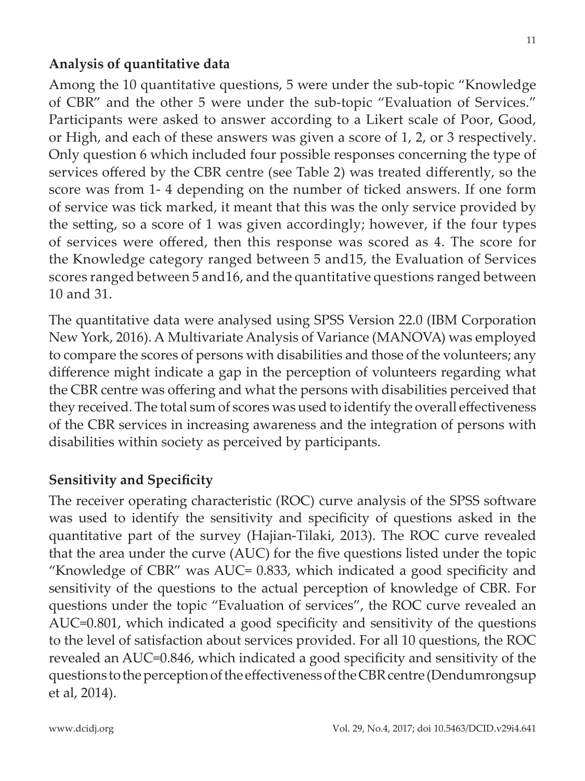#### **Analysis of quantitative data**

Among the 10 quantitative questions, 5 were under the sub-topic "Knowledge of CBR" and the other 5 were under the sub-topic "Evaluation of Services." Participants were asked to answer according to a Likert scale of Poor, Good, or High, and each of these answers was given a score of 1, 2, or 3 respectively. Only question 6 which included four possible responses concerning the type of services offered by the CBR centre (see Table 2) was treated differently, so the score was from 1- 4 depending on the number of ticked answers. If one form of service was tick marked, it meant that this was the only service provided by the setting, so a score of 1 was given accordingly; however, if the four types of services were offered, then this response was scored as 4. The score for the Knowledge category ranged between 5 and15, the Evaluation of Services scores ranged between 5 and16, and the quantitative questions ranged between 10 and 31.

The quantitative data were analysed using SPSS Version 22.0 (IBM Corporation New York, 2016). A Multivariate Analysis of Variance (MANOVA) was employed to compare the scores of persons with disabilities and those of the volunteers; any difference might indicate a gap in the perception of volunteers regarding what the CBR centre was offering and what the persons with disabilities perceived that they received. The total sum of scores was used to identify the overall effectiveness of the CBR services in increasing awareness and the integration of persons with disabilities within society as perceived by participants.

#### **Sensitivity and Specificity**

The receiver operating characteristic (ROC) curve analysis of the SPSS software was used to identify the sensitivity and specificity of questions asked in the quantitative part of the survey (Hajian-Tilaki, 2013). The ROC curve revealed that the area under the curve (AUC) for the five questions listed under the topic "Knowledge of CBR" was AUC= 0.833, which indicated a good specificity and sensitivity of the questions to the actual perception of knowledge of CBR. For questions under the topic "Evaluation of services", the ROC curve revealed an AUC=0.801, which indicated a good specificity and sensitivity of the questions to the level of satisfaction about services provided. For all 10 questions, the ROC revealed an AUC=0.846, which indicated a good specificity and sensitivity of the questions to the perception of the effectiveness of the CBR centre (Dendumrongsup et al, 2014).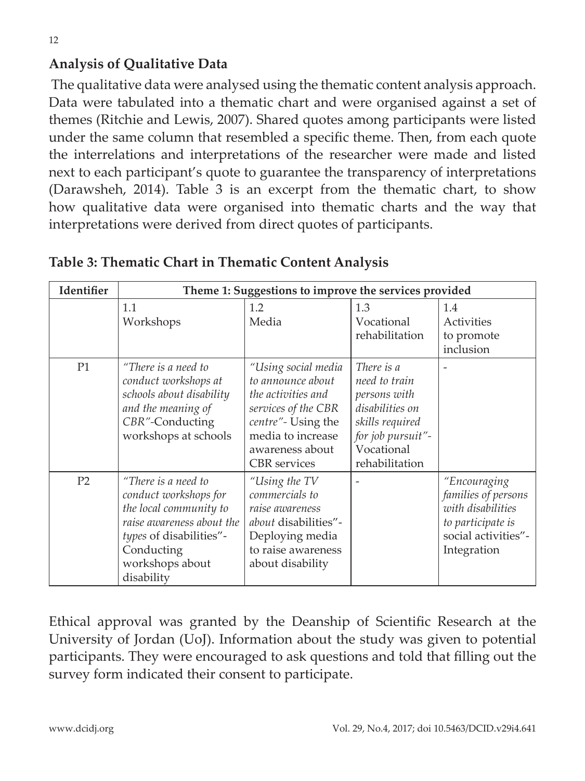### **Analysis of Qualitative Data**

 The qualitative data were analysed using the thematic content analysis approach. Data were tabulated into a thematic chart and were organised against a set of themes (Ritchie and Lewis, 2007). Shared quotes among participants were listed under the same column that resembled a specific theme. Then, from each quote the interrelations and interpretations of the researcher were made and listed next to each participant's quote to guarantee the transparency of interpretations (Darawsheh, 2014). Table 3 is an excerpt from the thematic chart, to show how qualitative data were organised into thematic charts and the way that interpretations were derived from direct quotes of participants.

| Identifier     | Theme 1: Suggestions to improve the services provided                                                                                                                         |                                                                                                                                                                            |                                                                                                                                        |                                                                                                                     |
|----------------|-------------------------------------------------------------------------------------------------------------------------------------------------------------------------------|----------------------------------------------------------------------------------------------------------------------------------------------------------------------------|----------------------------------------------------------------------------------------------------------------------------------------|---------------------------------------------------------------------------------------------------------------------|
|                | 1.1<br>Workshops                                                                                                                                                              | 1.2<br>Media                                                                                                                                                               | 1.3<br>Vocational<br>rehabilitation                                                                                                    | 1.4<br>Activities<br>to promote<br>inclusion                                                                        |
| P1             | "There is a need to<br>conduct workshops at<br>schools about disability<br>and the meaning of<br>CBR"-Conducting<br>workshops at schools                                      | "Using social media<br>to announce about<br>the activities and<br>services of the CBR<br>centre"- Using the<br>media to increase<br>awareness about<br><b>CBR</b> services | There is a<br>need to train<br>persons with<br>disabilities on<br>skills required<br>for job pursuit"-<br>Vocational<br>rehabilitation |                                                                                                                     |
| P <sub>2</sub> | "There is a need to<br>conduct workshops for<br>the local community to<br>raise awareness about the<br>types of disabilities"-<br>Conducting<br>workshops about<br>disability | "Using the TV<br>commercials to<br>raise awareness<br><i>about</i> disabilities"-<br>Deploying media<br>to raise awareness<br>about disability                             |                                                                                                                                        | "Encouraging<br>families of persons<br>with disabilities<br>to participate is<br>social activities"-<br>Integration |

**Table 3: Thematic Chart in Thematic Content Analysis**

Ethical approval was granted by the Deanship of Scientific Research at the University of Jordan (UoJ). Information about the study was given to potential participants. They were encouraged to ask questions and told that filling out the survey form indicated their consent to participate.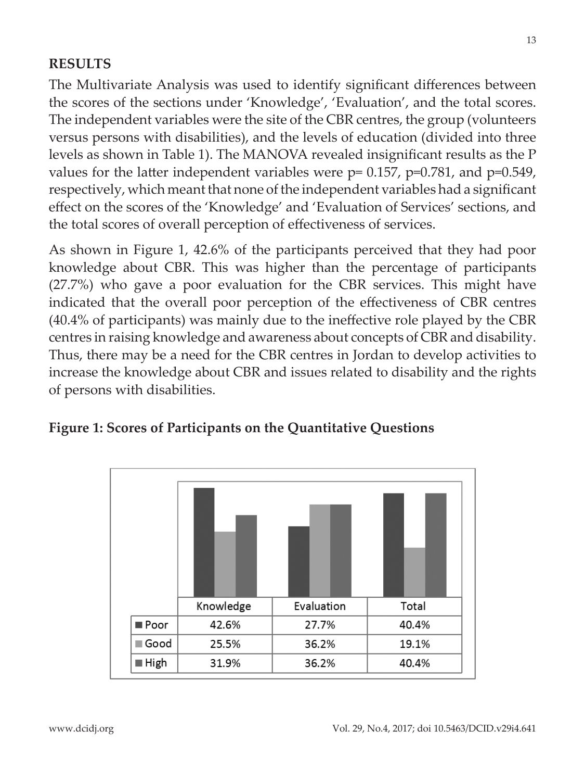#### **RESULTS**

The Multivariate Analysis was used to identify significant differences between the scores of the sections under 'Knowledge', 'Evaluation', and the total scores. The independent variables were the site of the CBR centres, the group (volunteers versus persons with disabilities), and the levels of education (divided into three levels as shown in Table 1). The MANOVA revealed insignificant results as the P values for the latter independent variables were p= 0.157, p=0.781, and p=0.549, respectively, which meant that none of the independent variables had a significant effect on the scores of the 'Knowledge' and 'Evaluation of Services' sections, and the total scores of overall perception of effectiveness of services.

As shown in Figure 1, 42.6% of the participants perceived that they had poor knowledge about CBR. This was higher than the percentage of participants (27.7%) who gave a poor evaluation for the CBR services. This might have indicated that the overall poor perception of the effectiveness of CBR centres (40.4% of participants) was mainly due to the ineffective role played by the CBR centres in raising knowledge and awareness about concepts of CBR and disability. Thus, there may be a need for the CBR centres in Jordan to develop activities to increase the knowledge about CBR and issues related to disability and the rights of persons with disabilities.



#### **Figure 1: Scores of Participants on the Quantitative Questions**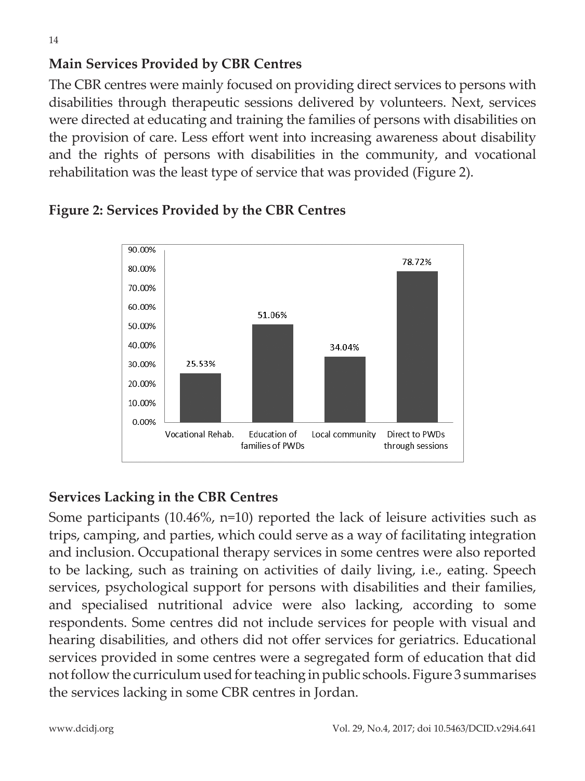### **Main Services Provided by CBR Centres**

The CBR centres were mainly focused on providing direct services to persons with disabilities through therapeutic sessions delivered by volunteers. Next, services were directed at educating and training the families of persons with disabilities on the provision of care. Less effort went into increasing awareness about disability and the rights of persons with disabilities in the community, and vocational rehabilitation was the least type of service that was provided (Figure 2).



### **Figure 2: Services Provided by the CBR Centres**

### **Services Lacking in the CBR Centres**

Some participants (10.46%, n=10) reported the lack of leisure activities such as trips, camping, and parties, which could serve as a way of facilitating integration and inclusion. Occupational therapy services in some centres were also reported to be lacking, such as training on activities of daily living, i.e., eating. Speech services, psychological support for persons with disabilities and their families, and specialised nutritional advice were also lacking, according to some respondents. Some centres did not include services for people with visual and hearing disabilities, and others did not offer services for geriatrics. Educational services provided in some centres were a segregated form of education that did not follow the curriculum used for teaching in public schools. Figure 3 summarises the services lacking in some CBR centres in Jordan.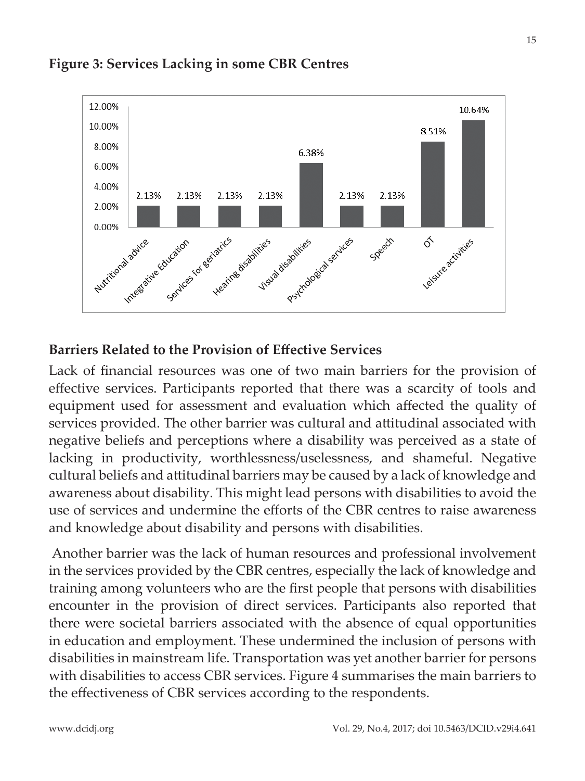

#### **Figure 3: Services Lacking in some CBR Centres**

#### **Barriers Related to the Provision of Effective Services**

Lack of financial resources was one of two main barriers for the provision of effective services. Participants reported that there was a scarcity of tools and equipment used for assessment and evaluation which affected the quality of services provided. The other barrier was cultural and attitudinal associated with negative beliefs and perceptions where a disability was perceived as a state of lacking in productivity, worthlessness/uselessness, and shameful. Negative cultural beliefs and attitudinal barriers may be caused by a lack of knowledge and awareness about disability. This might lead persons with disabilities to avoid the use of services and undermine the efforts of the CBR centres to raise awareness and knowledge about disability and persons with disabilities.

 Another barrier was the lack of human resources and professional involvement in the services provided by the CBR centres, especially the lack of knowledge and training among volunteers who are the first people that persons with disabilities encounter in the provision of direct services. Participants also reported that there were societal barriers associated with the absence of equal opportunities in education and employment. These undermined the inclusion of persons with disabilities in mainstream life. Transportation was yet another barrier for persons with disabilities to access CBR services. Figure 4 summarises the main barriers to the effectiveness of CBR services according to the respondents.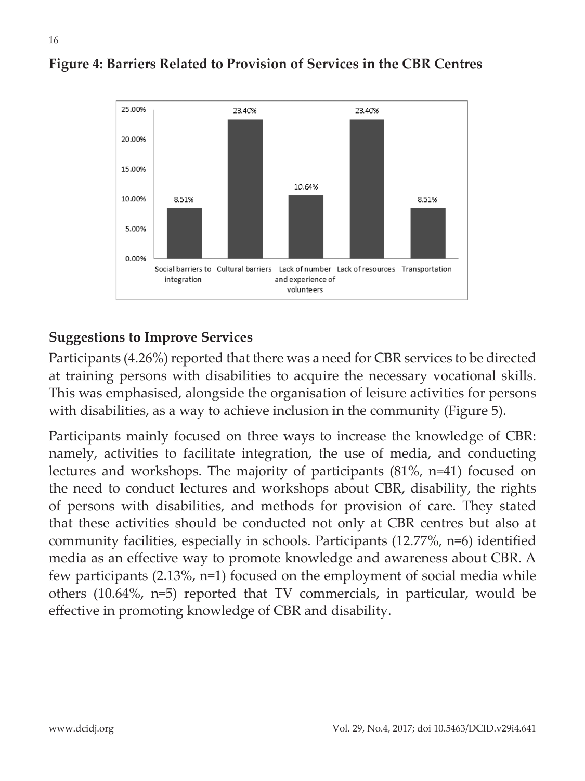

#### **Figure 4: Barriers Related to Provision of Services in the CBR Centres**

### **Suggestions to Improve Services**

Participants (4.26%) reported that there was a need for CBR services to be directed at training persons with disabilities to acquire the necessary vocational skills. This was emphasised, alongside the organisation of leisure activities for persons with disabilities, as a way to achieve inclusion in the community (Figure 5).

Participants mainly focused on three ways to increase the knowledge of CBR: namely, activities to facilitate integration, the use of media, and conducting lectures and workshops. The majority of participants (81%, n=41) focused on the need to conduct lectures and workshops about CBR, disability, the rights of persons with disabilities, and methods for provision of care. They stated that these activities should be conducted not only at CBR centres but also at community facilities, especially in schools. Participants (12.77%, n=6) identified media as an effective way to promote knowledge and awareness about CBR. A few participants (2.13%, n=1) focused on the employment of social media while others (10.64%, n=5) reported that TV commercials, in particular, would be effective in promoting knowledge of CBR and disability.

16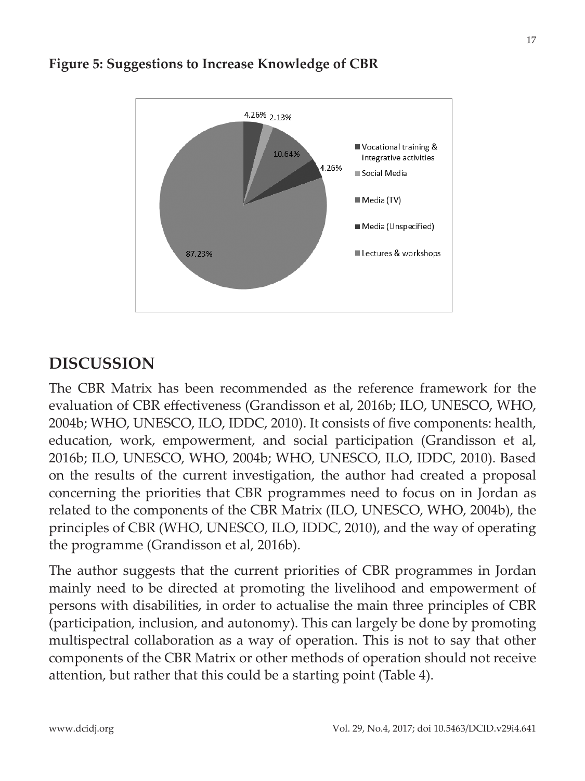

#### **Figure 5: Suggestions to Increase Knowledge of CBR**

### **DISCUSSION**

The CBR Matrix has been recommended as the reference framework for the evaluation of CBR effectiveness (Grandisson et al, 2016b; ILO, UNESCO, WHO, 2004b; WHO, UNESCO, ILO, IDDC, 2010). It consists of five components: health, education, work, empowerment, and social participation (Grandisson et al, 2016b; ILO, UNESCO, WHO, 2004b; WHO, UNESCO, ILO, IDDC, 2010). Based on the results of the current investigation, the author had created a proposal concerning the priorities that CBR programmes need to focus on in Jordan as related to the components of the CBR Matrix (ILO, UNESCO, WHO, 2004b), the principles of CBR (WHO, UNESCO, ILO, IDDC, 2010), and the way of operating the programme (Grandisson et al, 2016b).

The author suggests that the current priorities of CBR programmes in Jordan mainly need to be directed at promoting the livelihood and empowerment of persons with disabilities, in order to actualise the main three principles of CBR (participation, inclusion, and autonomy). This can largely be done by promoting multispectral collaboration as a way of operation. This is not to say that other components of the CBR Matrix or other methods of operation should not receive attention, but rather that this could be a starting point (Table 4).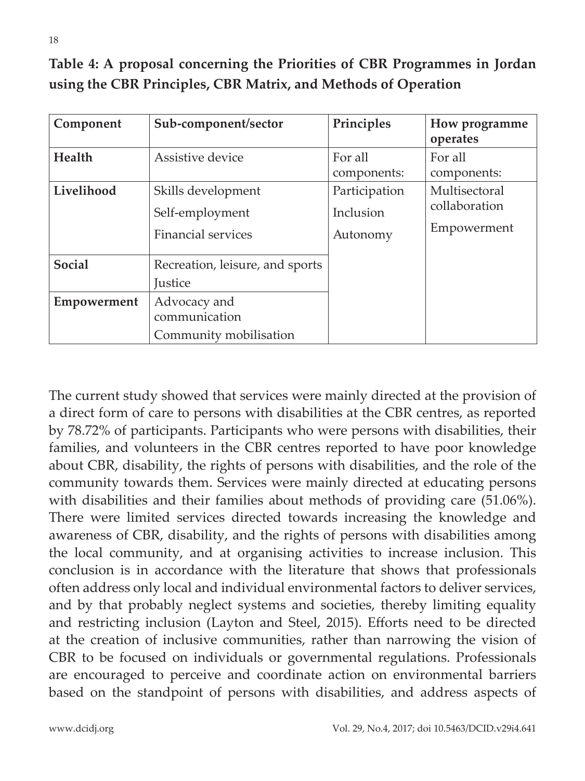**Table 4: A proposal concerning the Priorities of CBR Programmes in Jordan using the CBR Principles, CBR Matrix, and Methods of Operation**

| Component                    | Sub-component/sector                                                                      | Principles                             | How programme<br>operates                     |
|------------------------------|-------------------------------------------------------------------------------------------|----------------------------------------|-----------------------------------------------|
| Health                       | Assistive device                                                                          | For all<br>components:                 | For all<br>components:                        |
| Livelihood                   | Skills development<br>Self-employment<br><b>Financial services</b>                        | Participation<br>Inclusion<br>Autonomy | Multisectoral<br>collaboration<br>Empowerment |
| <b>Social</b><br>Empowerment | Recreation, leisure, and sports<br><i><u>Iustice</u></i><br>Advocacy and<br>communication |                                        |                                               |
|                              | Community mobilisation                                                                    |                                        |                                               |

The current study showed that services were mainly directed at the provision of a direct form of care to persons with disabilities at the CBR centres, as reported by 78.72% of participants. Participants who were persons with disabilities, their families, and volunteers in the CBR centres reported to have poor knowledge about CBR, disability, the rights of persons with disabilities, and the role of the community towards them. Services were mainly directed at educating persons with disabilities and their families about methods of providing care (51.06%). There were limited services directed towards increasing the knowledge and awareness of CBR, disability, and the rights of persons with disabilities among the local community, and at organising activities to increase inclusion. This conclusion is in accordance with the literature that shows that professionals often address only local and individual environmental factors to deliver services, and by that probably neglect systems and societies, thereby limiting equality and restricting inclusion (Layton and Steel, 2015). Efforts need to be directed at the creation of inclusive communities, rather than narrowing the vision of CBR to be focused on individuals or governmental regulations. Professionals are encouraged to perceive and coordinate action on environmental barriers based on the standpoint of persons with disabilities, and address aspects of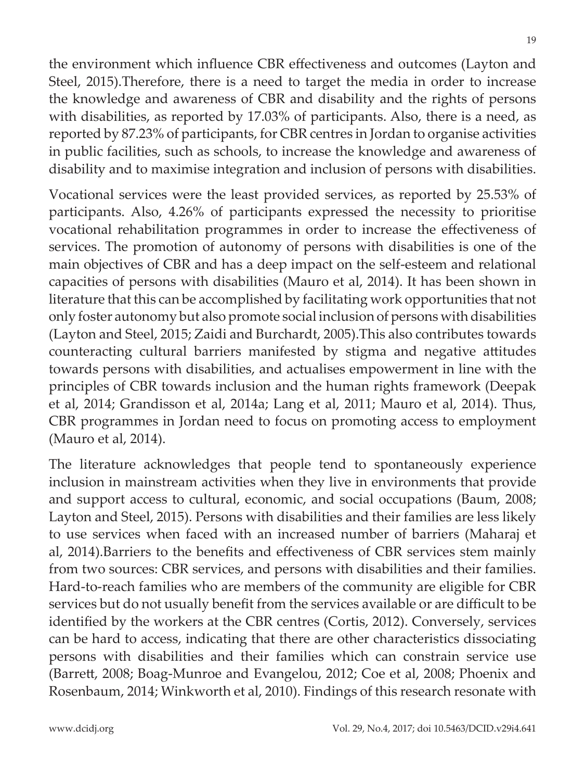the environment which influence CBR effectiveness and outcomes (Layton and Steel, 2015).Therefore, there is a need to target the media in order to increase the knowledge and awareness of CBR and disability and the rights of persons with disabilities, as reported by 17.03% of participants. Also, there is a need, as reported by 87.23% of participants, for CBR centres in Jordan to organise activities in public facilities, such as schools, to increase the knowledge and awareness of disability and to maximise integration and inclusion of persons with disabilities.

Vocational services were the least provided services, as reported by 25.53% of participants. Also, 4.26% of participants expressed the necessity to prioritise vocational rehabilitation programmes in order to increase the effectiveness of services. The promotion of autonomy of persons with disabilities is one of the main objectives of CBR and has a deep impact on the self-esteem and relational capacities of persons with disabilities (Mauro et al, 2014). It has been shown in literature that this can be accomplished by facilitating work opportunities that not only foster autonomy but also promote social inclusion of persons with disabilities (Layton and Steel, 2015; Zaidi and Burchardt, 2005).This also contributes towards counteracting cultural barriers manifested by stigma and negative attitudes towards persons with disabilities, and actualises empowerment in line with the principles of CBR towards inclusion and the human rights framework (Deepak et al, 2014; Grandisson et al, 2014a; Lang et al, 2011; Mauro et al, 2014). Thus, CBR programmes in Jordan need to focus on promoting access to employment (Mauro et al, 2014).

The literature acknowledges that people tend to spontaneously experience inclusion in mainstream activities when they live in environments that provide and support access to cultural, economic, and social occupations (Baum, 2008; Layton and Steel, 2015). Persons with disabilities and their families are less likely to use services when faced with an increased number of barriers (Maharaj et al, 2014).Barriers to the benefits and effectiveness of CBR services stem mainly from two sources: CBR services, and persons with disabilities and their families. Hard-to-reach families who are members of the community are eligible for CBR services but do not usually benefit from the services available or are difficult to be identified by the workers at the CBR centres (Cortis, 2012). Conversely, services can be hard to access, indicating that there are other characteristics dissociating persons with disabilities and their families which can constrain service use (Barrett, 2008; Boag-Munroe and Evangelou, 2012; Coe et al, 2008; Phoenix and Rosenbaum, 2014; Winkworth et al, 2010). Findings of this research resonate with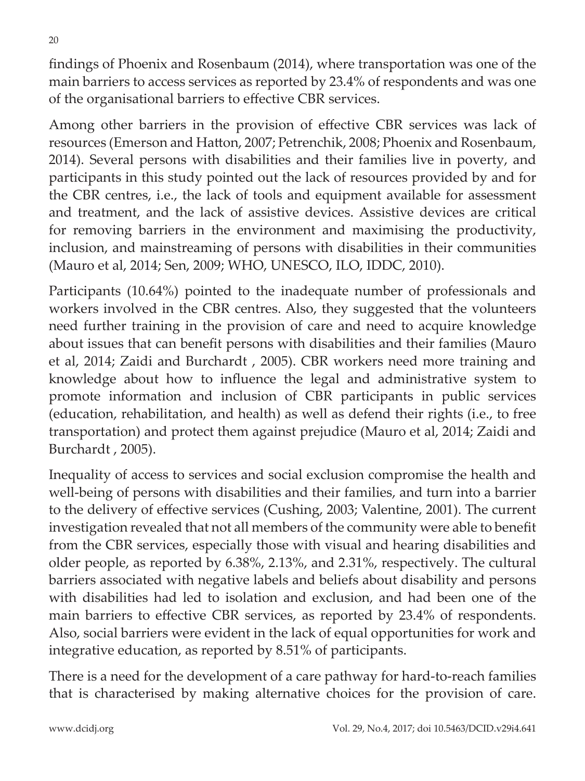findings of Phoenix and Rosenbaum (2014), where transportation was one of the main barriers to access services as reported by 23.4% of respondents and was one of the organisational barriers to effective CBR services.

Among other barriers in the provision of effective CBR services was lack of resources (Emerson and Hatton, 2007; Petrenchik, 2008; Phoenix and Rosenbaum, 2014). Several persons with disabilities and their families live in poverty, and participants in this study pointed out the lack of resources provided by and for the CBR centres, i.e., the lack of tools and equipment available for assessment and treatment, and the lack of assistive devices. Assistive devices are critical for removing barriers in the environment and maximising the productivity, inclusion, and mainstreaming of persons with disabilities in their communities (Mauro et al, 2014; Sen, 2009; WHO, UNESCO, ILO, IDDC, 2010).

Participants (10.64%) pointed to the inadequate number of professionals and workers involved in the CBR centres. Also, they suggested that the volunteers need further training in the provision of care and need to acquire knowledge about issues that can benefit persons with disabilities and their families (Mauro et al, 2014; Zaidi and Burchardt , 2005). CBR workers need more training and knowledge about how to influence the legal and administrative system to promote information and inclusion of CBR participants in public services (education, rehabilitation, and health) as well as defend their rights (i.e., to free transportation) and protect them against prejudice (Mauro et al, 2014; Zaidi and Burchardt , 2005).

Inequality of access to services and social exclusion compromise the health and well-being of persons with disabilities and their families, and turn into a barrier to the delivery of effective services (Cushing, 2003; Valentine, 2001). The current investigation revealed that not all members of the community were able to benefit from the CBR services, especially those with visual and hearing disabilities and older people, as reported by 6.38%, 2.13%, and 2.31%, respectively. The cultural barriers associated with negative labels and beliefs about disability and persons with disabilities had led to isolation and exclusion, and had been one of the main barriers to effective CBR services, as reported by 23.4% of respondents. Also, social barriers were evident in the lack of equal opportunities for work and integrative education, as reported by 8.51% of participants.

There is a need for the development of a care pathway for hard-to-reach families that is characterised by making alternative choices for the provision of care.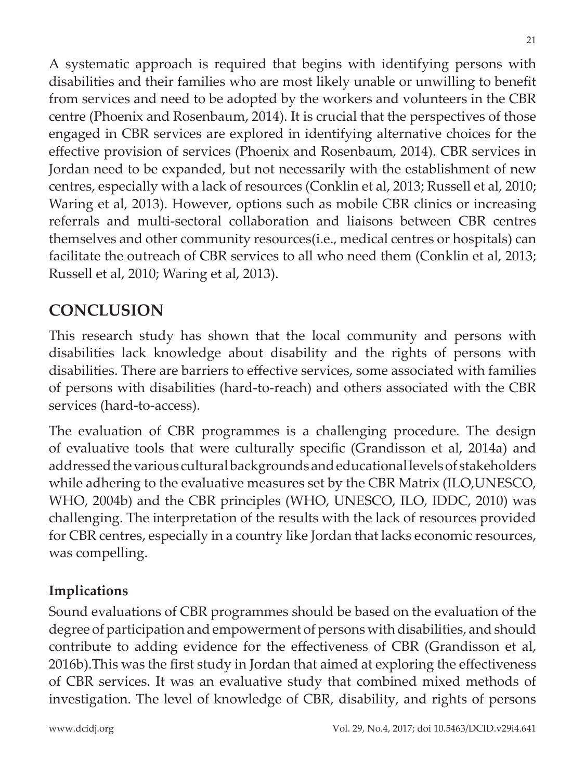A systematic approach is required that begins with identifying persons with disabilities and their families who are most likely unable or unwilling to benefit from services and need to be adopted by the workers and volunteers in the CBR centre (Phoenix and Rosenbaum, 2014). It is crucial that the perspectives of those engaged in CBR services are explored in identifying alternative choices for the effective provision of services (Phoenix and Rosenbaum, 2014). CBR services in Jordan need to be expanded, but not necessarily with the establishment of new centres, especially with a lack of resources (Conklin et al, 2013; Russell et al, 2010; Waring et al, 2013). However, options such as mobile CBR clinics or increasing referrals and multi-sectoral collaboration and liaisons between CBR centres themselves and other community resources(i.e., medical centres or hospitals) can facilitate the outreach of CBR services to all who need them (Conklin et al, 2013; Russell et al, 2010; Waring et al, 2013).

## **CONCLUSION**

This research study has shown that the local community and persons with disabilities lack knowledge about disability and the rights of persons with disabilities. There are barriers to effective services, some associated with families of persons with disabilities (hard-to-reach) and others associated with the CBR services (hard-to-access).

The evaluation of CBR programmes is a challenging procedure. The design of evaluative tools that were culturally specific (Grandisson et al, 2014a) and addressed the various cultural backgrounds and educational levels of stakeholders while adhering to the evaluative measures set by the CBR Matrix (ILO,UNESCO, WHO, 2004b) and the CBR principles (WHO, UNESCO, ILO, IDDC, 2010) was challenging. The interpretation of the results with the lack of resources provided for CBR centres, especially in a country like Jordan that lacks economic resources, was compelling.

## **Implications**

Sound evaluations of CBR programmes should be based on the evaluation of the degree of participation and empowerment of persons with disabilities, and should contribute to adding evidence for the effectiveness of CBR (Grandisson et al, 2016b).This was the first study in Jordan that aimed at exploring the effectiveness of CBR services. It was an evaluative study that combined mixed methods of investigation. The level of knowledge of CBR, disability, and rights of persons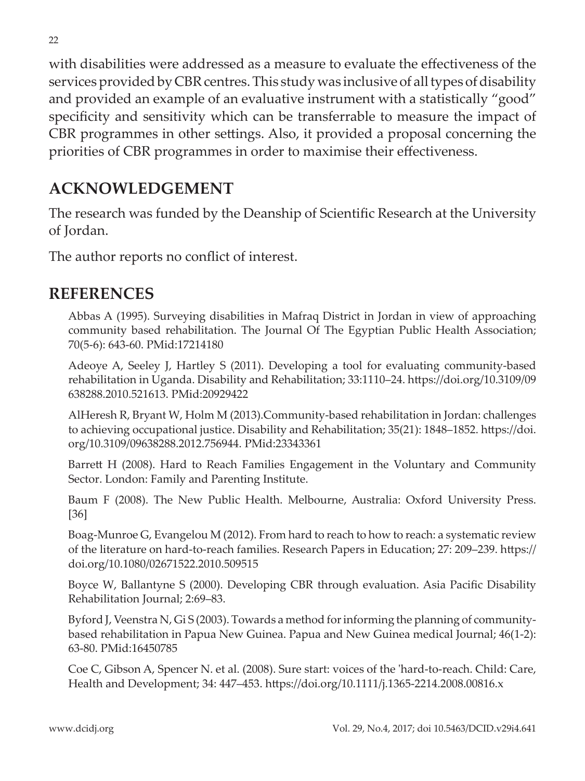with disabilities were addressed as a measure to evaluate the effectiveness of the services provided by CBR centres. This study was inclusive of all types of disability and provided an example of an evaluative instrument with a statistically "good" specificity and sensitivity which can be transferrable to measure the impact of CBR programmes in other settings. Also, it provided a proposal concerning the priorities of CBR programmes in order to maximise their effectiveness.

## **ACKNOWLEDGEMENT**

The research was funded by the Deanship of Scientific Research at the University of Jordan.

The author reports no conflict of interest.

### **REFERENCES**

Abbas A (1995). Surveying disabilities in Mafraq District in Jordan in view of approaching community based rehabilitation. The Journal Of The Egyptian Public Health Association; 70(5-6): 643-60. PMid:17214180

Adeoye A, Seeley J, Hartley S (2011). Developing a tool for evaluating community-based rehabilitation in Uganda. Disability and Rehabilitation; 33:1110–24. https://doi.org/10.3109/09 638288.2010.521613. PMid:20929422

AlHeresh R, Bryant W, Holm M (2013).Community-based rehabilitation in Jordan: challenges to achieving occupational justice. Disability and Rehabilitation; 35(21): 1848–1852. https://doi. org/10.3109/09638288.2012.756944. PMid:23343361

Barrett H (2008). Hard to Reach Families Engagement in the Voluntary and Community Sector. London: Family and Parenting Institute.

Baum F (2008). The New Public Health. Melbourne, Australia: Oxford University Press. [36]

Boag-Munroe G, Evangelou M (2012). From hard to reach to how to reach: a systematic review of the literature on hard-to-reach families. Research Papers in Education; 27: 209–239. https:// doi.org/10.1080/02671522.2010.509515

Boyce W, Ballantyne S (2000). Developing CBR through evaluation. Asia Pacific Disability Rehabilitation Journal; 2:69–83.

Byford J, Veenstra N, Gi S (2003). Towards a method for informing the planning of communitybased rehabilitation in Papua New Guinea. Papua and New Guinea medical Journal; 46(1-2): 63-80. PMid:16450785

Coe C, Gibson A, Spencer N. et al. (2008). Sure start: voices of the 'hard-to-reach. Child: Care, Health and Development; 34: 447–453. https://doi.org/10.1111/j.1365-2214.2008.00816.x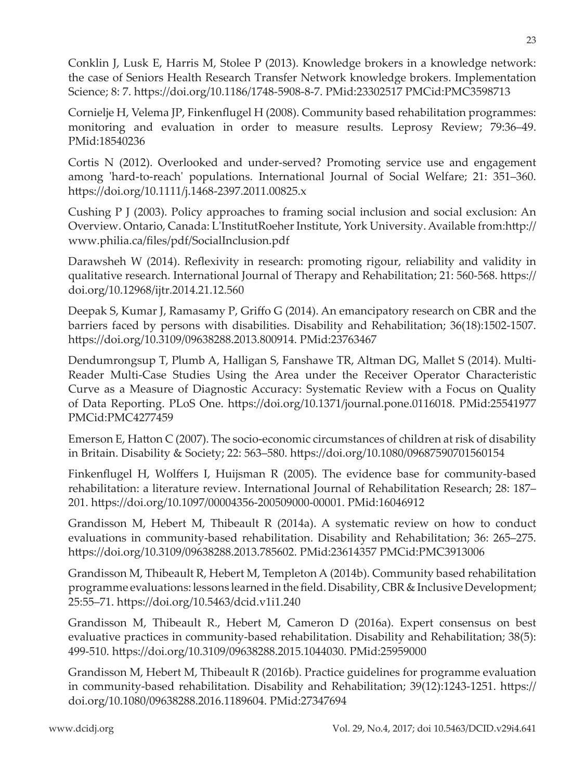Conklin J, Lusk E, Harris M, Stolee P (2013). Knowledge brokers in a knowledge network: the case of Seniors Health Research Transfer Network knowledge brokers. Implementation Science; 8: 7. https://doi.org/10.1186/1748-5908-8-7. PMid:23302517 PMCid:PMC3598713

Cornielje H, Velema JP, Finkenflugel H (2008). Community based rehabilitation programmes: monitoring and evaluation in order to measure results. Leprosy Review; 79:36–49. PMid:18540236

Cortis N (2012). Overlooked and under-served? Promoting service use and engagement among 'hard-to-reach' populations. International Journal of Social Welfare; 21: 351–360. https://doi.org/10.1111/j.1468-2397.2011.00825.x

Cushing P J (2003). Policy approaches to framing social inclusion and social exclusion: An Overview. Ontario, Canada: L'InstitutRoeher Institute, York University. Available from:http:// www.philia.ca/files/pdf/SocialInclusion.pdf

Darawsheh W (2014). Reflexivity in research: promoting rigour, reliability and validity in qualitative research. International Journal of Therapy and Rehabilitation; 21: 560-568. https:// doi.org/10.12968/ijtr.2014.21.12.560

Deepak S, Kumar J, Ramasamy P, Griffo G (2014). An emancipatory research on CBR and the barriers faced by persons with disabilities. Disability and Rehabilitation; 36(18):1502-1507. https://doi.org/10.3109/09638288.2013.800914. PMid:23763467

Dendumrongsup T, Plumb A, Halligan S, Fanshawe TR, Altman DG, Mallet S (2014). Multi-Reader Multi-Case Studies Using the Area under the Receiver Operator Characteristic Curve as a Measure of Diagnostic Accuracy: Systematic Review with a Focus on Quality of Data Reporting. PLoS One. https://doi.org/10.1371/journal.pone.0116018. PMid:25541977 PMCid:PMC4277459

Emerson E, Hatton C (2007). The socio-economic circumstances of children at risk of disability in Britain. Disability & Society; 22: 563–580. https://doi.org/10.1080/09687590701560154

Finkenflugel H, Wolffers I, Huijsman R (2005). The evidence base for community-based rehabilitation: a literature review. International Journal of Rehabilitation Research; 28: 187– 201. https://doi.org/10.1097/00004356-200509000-00001. PMid:16046912

Grandisson M, Hebert M, Thibeault R (2014a). A systematic review on how to conduct evaluations in community-based rehabilitation. Disability and Rehabilitation; 36: 265–275. https://doi.org/10.3109/09638288.2013.785602. PMid:23614357 PMCid:PMC3913006

Grandisson M, Thibeault R, Hebert M, Templeton A (2014b). Community based rehabilitation programme evaluations: lessons learned in the field. Disability, CBR & Inclusive Development; 25:55–71. https://doi.org/10.5463/dcid.v1i1.240

Grandisson M, Thibeault R., Hebert M, Cameron D (2016a). Expert consensus on best evaluative practices in community-based rehabilitation. Disability and Rehabilitation; 38(5): 499-510. https://doi.org/10.3109/09638288.2015.1044030. PMid:25959000

Grandisson M, Hebert M, Thibeault R (2016b). Practice guidelines for programme evaluation in community-based rehabilitation. Disability and Rehabilitation; 39(12):1243-1251. https:// doi.org/10.1080/09638288.2016.1189604. PMid:27347694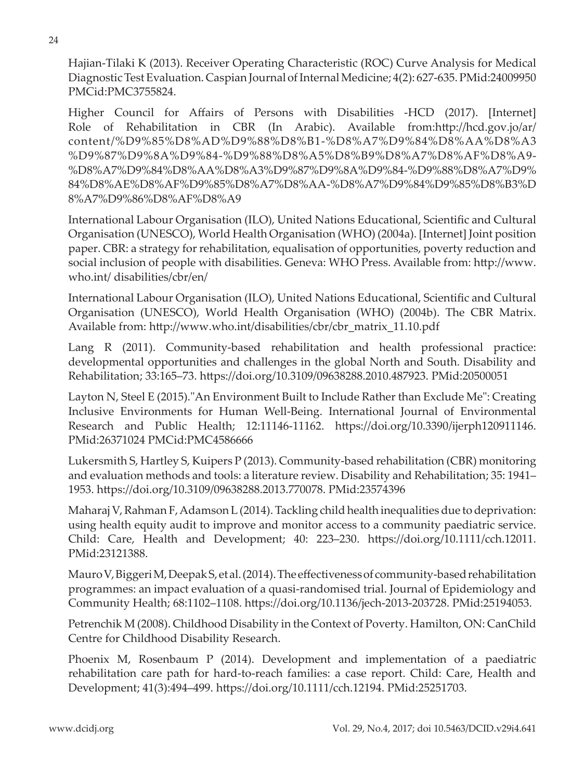Hajian-Tilaki K (2013). Receiver Operating Characteristic (ROC) Curve Analysis for Medical Diagnostic Test Evaluation. Caspian Journal of Internal Medicine; 4(2): 627-635. PMid:24009950 PMCid:PMC3755824.

Higher Council for Affairs of Persons with Disabilities -HCD (2017). [Internet] Role of Rehabilitation in CBR (In Arabic). Available from:http://hcd.gov.jo/ar/ content/%D9%85%D8%AD%D9%88%D8%B1-%D8%A7%D9%84%D8%AA%D8%A3 %D9%87%D9%8A%D9%84-%D9%88%D8%A5%D8%B9%D8%A7%D8%AF%D8%A9- %D8%A7%D9%84%D8%AA%D8%A3%D9%87%D9%8A%D9%84-%D9%88%D8%A7%D9% 84%D8%AE%D8%AF%D9%85%D8%A7%D8%AA-%D8%A7%D9%84%D9%85%D8%B3%D 8%A7%D9%86%D8%AF%D8%A9

International Labour Organisation (ILO), United Nations Educational, Scientific and Cultural Organisation (UNESCO), World Health Organisation (WHO) (2004a). [Internet] Joint position paper. CBR: a strategy for rehabilitation, equalisation of opportunities, poverty reduction and social inclusion of people with disabilities. Geneva: WHO Press. Available from: http://www. who.int/ disabilities/cbr/en/

International Labour Organisation (ILO), United Nations Educational, Scientific and Cultural Organisation (UNESCO), World Health Organisation (WHO) (2004b). The CBR Matrix. Available from: http://www.who.int/disabilities/cbr/cbr\_matrix\_11.10.pdf

Lang R (2011). Community-based rehabilitation and health professional practice: developmental opportunities and challenges in the global North and South. Disability and Rehabilitation; 33:165–73. https://doi.org/10.3109/09638288.2010.487923. PMid:20500051

Layton N, Steel E (2015)."An Environment Built to Include Rather than Exclude Me": Creating Inclusive Environments for Human Well-Being. International Journal of Environmental Research and Public Health; 12:11146-11162. https://doi.org/10.3390/ijerph120911146. PMid:26371024 PMCid:PMC4586666

Lukersmith S, Hartley S, Kuipers P (2013). Community-based rehabilitation (CBR) monitoring and evaluation methods and tools: a literature review. Disability and Rehabilitation; 35: 1941– 1953. https://doi.org/10.3109/09638288.2013.770078. PMid:23574396

Maharaj V, Rahman F, Adamson L (2014). Tackling child health inequalities due to deprivation: using health equity audit to improve and monitor access to a community paediatric service. Child: Care, Health and Development; 40: 223–230. https://doi.org/10.1111/cch.12011. PMid:23121388.

Mauro V, Biggeri M, Deepak S, et al. (2014). The effectiveness of community-based rehabilitation programmes: an impact evaluation of a quasi-randomised trial. Journal of Epidemiology and Community Health; 68:1102–1108. https://doi.org/10.1136/jech-2013-203728. PMid:25194053.

Petrenchik M (2008). Childhood Disability in the Context of Poverty. Hamilton, ON: CanChild Centre for Childhood Disability Research.

Phoenix M, Rosenbaum P (2014). Development and implementation of a paediatric rehabilitation care path for hard-to-reach families: a case report. Child: Care, Health and Development; 41(3):494–499. https://doi.org/10.1111/cch.12194. PMid:25251703.

www.dcidj.org

24